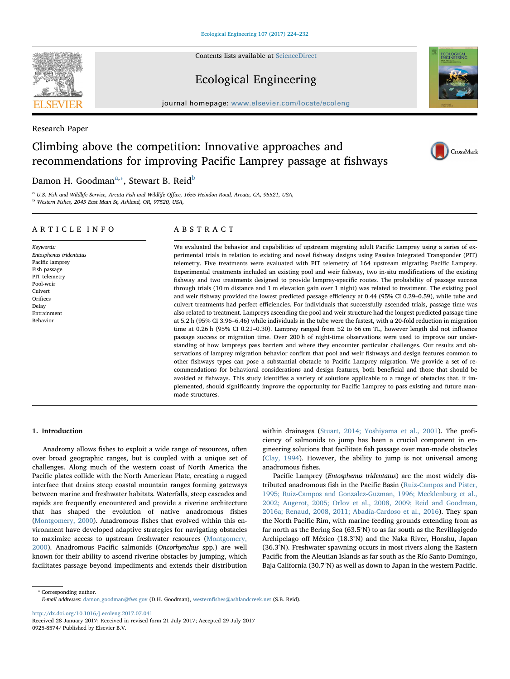Contents lists available at [ScienceDirect](http://www.sciencedirect.com/science/journal/09258574)

## Ecological Engineering

journal homepage: [www.elsevier.com/locate/ecoleng](http://www.elsevier.com/locate/ecoleng)

Research Paper

# Climbing above the competition: Innovative approaches and recommendations for improving Pacific Lamprey passage at fishways

## D[a](#page-0-0)mon H. Goodman $^\mathrm{a, *},$  Stewart B. Reid $^\mathrm{b}$  $^\mathrm{b}$  $^\mathrm{b}$

<span id="page-0-2"></span><span id="page-0-0"></span><sup>a</sup> U.S. Fish and Wildlife Service, Arcata Fish and Wildlife Office, 1655 Heindon Road, Arcata, CA, 95521, USA, b Western Fishes, 2045 East Main St, Ashland, OR, 97520, USA,

## ARTICLE INFO

Keywords: Entosphenus tridentatus Pacific lamprey Fish passage PIT telemetry Pool-weir Culvert Orifices Delay Entrainment Behavior

## ABSTRACT

We evaluated the behavior and capabilities of upstream migrating adult Pacific Lamprey using a series of experimental trials in relation to existing and novel fishway designs using Passive Integrated Transponder (PIT) telemetry. Five treatments were evaluated with PIT telemetry of 164 upstream migrating Pacific Lamprey. Experimental treatments included an existing pool and weir fishway, two in-situ modifications of the existing fishway and two treatments designed to provide lamprey-specific routes. The probability of passage success through trials (10 m distance and 1 m elevation gain over 1 night) was related to treatment. The existing pool and weir fishway provided the lowest predicted passage efficiency at 0.44 (95% CI 0.29–0.59), while tube and culvert treatments had perfect efficiencies. For individuals that successfully ascended trials, passage time was also related to treatment. Lampreys ascending the pool and weir structure had the longest predicted passage time at 5.2 h (95% CI 3.96–6.46) while individuals in the tube were the fastest, with a 20-fold reduction in migration time at 0.26 h (95% CI 0.21–0.30). Lamprey ranged from 52 to 66 cm TL, however length did not influence passage success or migration time. Over 200 h of night-time observations were used to improve our understanding of how lampreys pass barriers and where they encounter particular challenges. Our results and observations of lamprey migration behavior confirm that pool and weir fishways and design features common to other fishways types can pose a substantial obstacle to Pacific Lamprey migration. We provide a set of recommendations for behavioral considerations and design features, both beneficial and those that should be avoided at fishways. This study identifies a variety of solutions applicable to a range of obstacles that, if implemented, should significantly improve the opportunity for Pacific Lamprey to pass existing and future manmade structures.

## 1. Introduction

Anadromy allows fishes to exploit a wide range of resources, often over broad geographic ranges, but is coupled with a unique set of challenges. Along much of the western coast of North America the Pacific plates collide with the North American Plate, creating a rugged interface that drains steep coastal mountain ranges forming gateways between marine and freshwater habitats. Waterfalls, steep cascades and rapids are frequently encountered and provide a riverine architecture that has shaped the evolution of native anadromous fishes ([Montgomery, 2000\)](#page-8-0). Anadromous fishes that evolved within this environment have developed adaptive strategies for navigating obstacles to maximize access to upstream freshwater resources [\(Montgomery,](#page-8-0) [2000\)](#page-8-0). Anadromous Pacific salmonids (Oncorhynchus spp.) are well known for their ability to ascend riverine obstacles by jumping, which facilitates passage beyond impediments and extends their distribution within drainages [\(Stuart, 2014; Yoshiyama et al., 2001\)](#page-8-1). The proficiency of salmonids to jump has been a crucial component in engineering solutions that facilitate fish passage over man-made obstacles ([Clay, 1994\)](#page-8-2). However, the ability to jump is not universal among anadromous fishes.

Pacific Lamprey (Entosphenus tridentatus) are the most widely distributed anadromous fish in the Pacific Basin [\(Ruiz-Campos and Pister,](#page-8-3) [1995; Ruiz-Campos and Gonzalez-Guzman, 1996; Mecklenburg et al.,](#page-8-3) [2002; Augerot, 2005; Orlov et al., 2008, 2009; Reid and Goodman,](#page-8-3) [2016a; Renaud, 2008, 2011; Abadía-Cardoso et al., 2016\)](#page-8-3). They span the North Pacific Rim, with marine feeding grounds extending from as far north as the Bering Sea (63.5°N) to as far south as the Revillagigedo Archipelago off México (18.3°N) and the Naka River, Honshu, Japan (36.3°N). Freshwater spawning occurs in most rivers along the Eastern Pacific from the Aleutian Islands as far south as the Río Santo Domingo, Baja California (30.7°N) as well as down to Japan in the western Pacific.

<span id="page-0-1"></span>⁎ Corresponding author. E-mail addresses: [damon\\_goodman@fws.gov](mailto:damon_goodman@fws.gov) (D.H. Goodman), westernfi[shes@ashlandcreek.net](mailto:westernfishes@ashlandcreek.net) (S.B. Reid).

<http://dx.doi.org/10.1016/j.ecoleng.2017.07.041>







Received 28 January 2017; Received in revised form 21 July 2017; Accepted 29 July 2017 0925-8574/ Published by Elsevier B.V.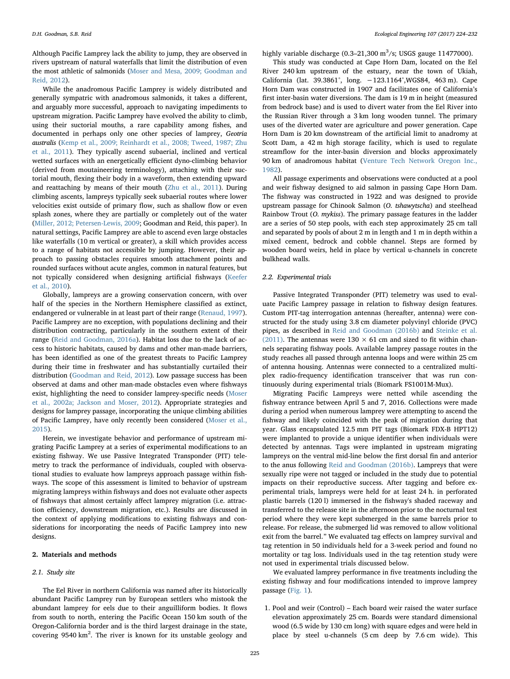Although Pacific Lamprey lack the ability to jump, they are observed in rivers upstream of natural waterfalls that limit the distribution of even the most athletic of salmonids ([Moser and Mesa, 2009; Goodman and](#page-8-4) [Reid, 2012](#page-8-4)).

While the anadromous Pacific Lamprey is widely distributed and generally sympatric with anadromous salmonids, it takes a different, and arguably more successful, approach to navigating impediments to upstream migration. Pacific Lamprey have evolved the ability to climb, using their suctorial mouths, a rare capability among fishes, and documented in perhaps only one other species of lamprey, Geotria australis [\(Kemp et al., 2009; Reinhardt et al., 2008; Tweed, 1987; Zhu](#page-8-5) [et al., 2011](#page-8-5)). They typically ascend subaerial, inclined and vertical wetted surfaces with an energetically efficient dyno-climbing behavior (derived from moutaineering terminology), attaching with their suctorial mouth, flexing their body in a waveform, then extending upward and reattaching by means of their mouth ([Zhu et al., 2011\)](#page-8-6). During climbing ascents, lampreys typically seek subaerial routes where lower velocities exist outside of primary flow, such as shallow flow or even splash zones, where they are partially or completely out of the water ([Miller, 2012; Petersen-Lewis, 2009](#page-8-7); Goodman and Reid, this paper). In natural settings, Pacific Lamprey are able to ascend even large obstacles like waterfalls (10 m vertical or greater), a skill which provides access to a range of habitats not accessible by jumping. However, their approach to passing obstacles requires smooth attachment points and rounded surfaces without acute angles, common in natural features, but not typically considered when designing artificial fishways [\(Keefer](#page-8-8) [et al., 2010](#page-8-8)).

Globally, lampreys are a growing conservation concern, with over half of the species in the Northern Hemisphere classified as extinct, endangered or vulnerable in at least part of their range ([Renaud, 1997](#page-8-9)). Pacific Lamprey are no exception, with populations declining and their distribution contracting, particularly in the southern extent of their range [\(Reid and Goodman, 2016a\)](#page-8-10). Habitat loss due to the lack of access to historic habitats, caused by dams and other man-made barriers, has been identified as one of the greatest threats to Pacific Lamprey during their time in freshwater and has substantially curtailed their distribution [\(Goodman and Reid, 2012](#page-8-11)). Low passage success has been observed at dams and other man-made obstacles even where fishways exist, highlighting the need to consider lamprey-specific needs [\(Moser](#page-8-12) [et al., 2002a; Jackson and Moser, 2012\)](#page-8-12). Appropriate strategies and designs for lamprey passage, incorporating the unique climbing abilities of Pacific Lamprey, have only recently been considered ([Moser et al.,](#page-8-13) [2015\)](#page-8-13).

Herein, we investigate behavior and performance of upstream migrating Pacific Lamprey at a series of experimental modifications to an existing fishway. We use Passive Integrated Transponder (PIT) telemetry to track the performance of individuals, coupled with observational studies to evaluate how lampreys approach passage within fishways. The scope of this assessment is limited to behavior of upstream migrating lampreys within fishways and does not evaluate other aspects of fishways that almost certainly affect lamprey migration (i.e. attraction efficiency, downstream migration, etc.). Results are discussed in the context of applying modifications to existing fishways and considerations for incorporating the needs of Pacific Lamprey into new designs.

#### 2. Materials and methods

## 2.1. Study site

The Eel River in northern California was named after its historically abundant Pacific Lamprey run by European settlers who mistook the abundant lamprey for eels due to their anguilliform bodies. It flows from south to north, entering the Pacific Ocean 150 km south of the Oregon-California border and is the third largest drainage in the state, covering 9540 km<sup>2</sup>. The river is known for its unstable geology and

highly variable discharge  $(0.3-21,300 \text{ m}^3/\text{s}$ ; USGS gauge 11477000).

This study was conducted at Cape Horn Dam, located on the Eel River 240 km upstream of the estuary, near the town of Ukiah, California (lat. 39.3861°, long. −123.1164°,WGS84, 463 m). Cape Horn Dam was constructed in 1907 and facilitates one of California's first inter-basin water diversions. The dam is 19 m in height (measured from bedrock base) and is used to divert water from the Eel River into the Russian River through a 3 km long wooden tunnel. The primary uses of the diverted water are agriculture and power generation. Cape Horn Dam is 20 km downstream of the artificial limit to anadromy at Scott Dam, a 42 m high storage facility, which is used to regulate streamflow for the inter-basin diversion and blocks approximately 90 km of anadromous habitat ([Venture Tech Network Oregon Inc.,](#page-8-14) [1982\)](#page-8-14).

All passage experiments and observations were conducted at a pool and weir fishway designed to aid salmon in passing Cape Horn Dam. The fishway was constructed in 1922 and was designed to provide upstream passage for Chinook Salmon (O. tshawytscha) and steelhead Rainbow Trout (O. mykiss). The primary passage features in the ladder are a series of 50 step pools, with each step approximately 25 cm tall and separated by pools of about 2 m in length and 1 m in depth within a mixed cement, bedrock and cobble channel. Steps are formed by wooden board weirs, held in place by vertical u-channels in concrete bulkhead walls.

#### 2.2. Experimental trials

Passive Integrated Transponder (PIT) telemetry was used to evaluate Pacific Lamprey passage in relation to fishway design features. Custom PIT-tag interrogation antennas (hereafter, antenna) were constructed for the study using 3.8 cm diameter polyvinyl chloride (PVC) pipes, as described in [Reid and Goodman \(2016b\)](#page-8-15) and [Steinke et al.](#page-8-16) [\(2011\).](#page-8-16) The antennas were  $130 \times 61$  cm and sized to fit within channels separating fishway pools. Available lamprey passage routes in the study reaches all passed through antenna loops and were within 25 cm of antenna housing. Antennas were connected to a centralized multiplex radio-frequency identification transceiver that was run continuously during experimental trials (Biomark FS1001M-Mux).

Migrating Pacific Lampreys were netted while ascending the fishway entrance between April 5 and 7, 2016. Collections were made during a period when numerous lamprey were attempting to ascend the fishway and likely coincided with the peak of migration during that year. Glass encapsulated 12.5 mm PIT tags (Biomark FDX-B HPT12) were implanted to provide a unique identifier when individuals were detected by antennas. Tags were implanted in upstream migrating lampreys on the ventral mid-line below the first dorsal fin and anterior to the anus following [Reid and Goodman \(2016b\).](#page-8-15) Lampreys that were sexually ripe were not tagged or included in the study due to potential impacts on their reproductive success. After tagging and before experimental trials, lampreys were held for at least 24 h. in perforated plastic barrels (120 l) immersed in the fishway's shaded raceway and transferred to the release site in the afternoon prior to the nocturnal test period where they were kept submerged in the same barrels prior to release. For release, the submerged lid was removed to allow volitional exit from the barrel." We evaluated tag effects on lamprey survival and tag retention in 50 individuals held for a 3-week period and found no mortality or tag loss. Individuals used in the tag retention study were not used in experimental trials discussed below.

We evaluated lamprey performance in five treatments including the existing fishway and four modifications intended to improve lamprey passage [\(Fig. 1\)](#page-2-0).

1. Pool and weir (Control) – Each board weir raised the water surface elevation approximately 25 cm. Boards were standard dimensional wood (6.5 wide by 130 cm long) with square edges and were held in place by steel u-channels (5 cm deep by 7.6 cm wide). This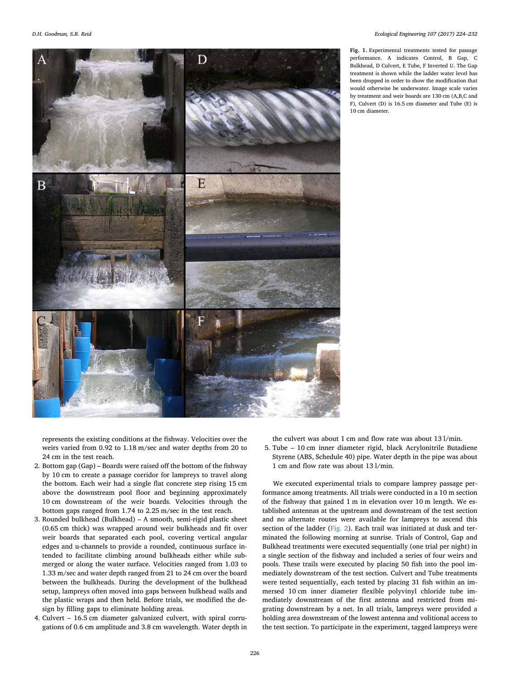$\overline{B}$ 

<span id="page-2-0"></span>D E

Fig. 1. Experimental treatments tested for passage performance. A indicates Control, B Gap, C Bulkhead, D Culvert, E Tube, F Inverted U. The Gap treatment is shown while the ladder water level has been dropped in order to show the modification that would otherwise be underwater. Image scale varies by treatment and weir boards are 130 cm (A,B,C and F), Culvert (D) is 16.5 cm diameter and Tube (E) is 10 cm diameter.

represents the existing conditions at the fishway. Velocities over the weirs varied from 0.92 to 1.18 m/sec and water depths from 20 to 24 cm in the test reach.

- 2. Bottom gap (Gap) Boards were raised off the bottom of the fishway by 10 cm to create a passage corridor for lampreys to travel along the bottom. Each weir had a single flat concrete step rising 15 cm above the downstream pool floor and beginning approximately 10 cm downstream of the weir boards. Velocities through the bottom gaps ranged from 1.74 to 2.25 m/sec in the test reach.
- 3. Rounded bulkhead (Bulkhead) A smooth, semi-rigid plastic sheet (0.65 cm thick) was wrapped around weir bulkheads and fit over weir boards that separated each pool, covering vertical angular edges and u-channels to provide a rounded, continuous surface intended to facilitate climbing around bulkheads either while submerged or along the water surface. Velocities ranged from 1.03 to 1.33 m/sec and water depth ranged from 21 to 24 cm over the board between the bulkheads. During the development of the bulkhead setup, lampreys often moved into gaps between bulkhead walls and the plastic wraps and then held. Before trials, we modified the design by filling gaps to eliminate holding areas.
- 4. Culvert 16.5 cm diameter galvanized culvert, with spiral corrugations of 0.6 cm amplitude and 3.8 cm wavelength. Water depth in
- the culvert was about 1 cm and flow rate was about 13 l/min.
- 5. Tube 10 cm inner diameter rigid, black Acrylonitrile Butadiene Styrene (ABS, Schedule 40) pipe. Water depth in the pipe was about 1 cm and flow rate was about 13 l/min.

We executed experimental trials to compare lamprey passage performance among treatments. All trials were conducted in a 10 m section of the fishway that gained 1 m in elevation over 10 m length. We established antennas at the upstream and downstream of the test section and no alternate routes were available for lampreys to ascend this section of the ladder [\(Fig. 2\)](#page-3-0). Each trail was initiated at dusk and terminated the following morning at sunrise. Trials of Control, Gap and Bulkhead treatments were executed sequentially (one trial per night) in a single section of the fishway and included a series of four weirs and pools. These trails were executed by placing 50 fish into the pool immediately downstream of the test section. Culvert and Tube treatments were tested sequentially, each tested by placing 31 fish within an immersed 10 cm inner diameter flexible polyvinyl chloride tube immediately downstream of the first antenna and restricted from migrating downstream by a net. In all trials, lampreys were provided a holding area downstream of the lowest antenna and volitional access to the test section. To participate in the experiment, tagged lampreys were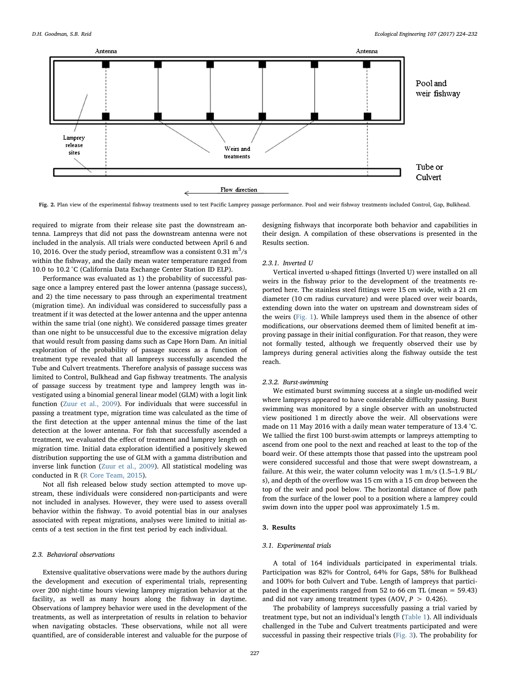<span id="page-3-0"></span>

Fig. 2. Plan view of the experimental fishway treatments used to test Pacific Lamprey passage performance. Pool and weir fishway treatments included Control, Gap, Bulkhead.

required to migrate from their release site past the downstream antenna. Lampreys that did not pass the downstream antenna were not included in the analysis. All trials were conducted between April 6 and 10, 2016. Over the study period, streamflow was a consistent  $0.31 \text{ m}^3/\text{s}$ within the fishway, and the daily mean water temperature ranged from 10.0 to 10.2 °C (California Data Exchange Center Station ID ELP).

Performance was evaluated as 1) the probability of successful passage once a lamprey entered past the lower antenna (passage success), and 2) the time necessary to pass through an experimental treatment (migration time). An individual was considered to successfully pass a treatment if it was detected at the lower antenna and the upper antenna within the same trial (one night). We considered passage times greater than one night to be unsuccessful due to the excessive migration delay that would result from passing dams such as Cape Horn Dam. An initial exploration of the probability of passage success as a function of treatment type revealed that all lampreys successfully ascended the Tube and Culvert treatments. Therefore analysis of passage success was limited to Control, Bulkhead and Gap fishway treatments. The analysis of passage success by treatment type and lamprey length was investigated using a binomial general linear model (GLM) with a logit link function ([Zuur et al., 2009](#page-8-17)). For individuals that were successful in passing a treatment type, migration time was calculated as the time of the first detection at the upper antennal minus the time of the last detection at the lower antenna. For fish that successfully ascended a treatment, we evaluated the effect of treatment and lamprey length on migration time. Initial data exploration identified a positively skewed distribution supporting the use of GLM with a gamma distribution and inverse link function [\(Zuur et al., 2009](#page-8-17)). All statistical modeling was conducted in R [\(R Core Team, 2015](#page-8-18)).

Not all fish released below study section attempted to move upstream, these individuals were considered non-participants and were not included in analyses. However, they were used to assess overall behavior within the fishway. To avoid potential bias in our analyses associated with repeat migrations, analyses were limited to initial ascents of a test section in the first test period by each individual.

### 2.3. Behavioral observations

Extensive qualitative observations were made by the authors during the development and execution of experimental trials, representing over 200 night-time hours viewing lamprey migration behavior at the facility, as well as many hours along the fishway in daytime. Observations of lamprey behavior were used in the development of the treatments, as well as interpretation of results in relation to behavior when navigating obstacles. These observations, while not all were quantified, are of considerable interest and valuable for the purpose of designing fishways that incorporate both behavior and capabilities in their design. A compilation of these observations is presented in the Results section.

### 2.3.1. Inverted U

Vertical inverted u-shaped fittings (Inverted U) were installed on all weirs in the fishway prior to the development of the treatments reported here. The stainless steel fittings were 15 cm wide, with a 21 cm diameter (10 cm radius curvature) and were placed over weir boards, extending down into the water on upstream and downstream sides of the weirs ([Fig. 1\)](#page-2-0). While lampreys used them in the absence of other modifications, our observations deemed them of limited benefit at improving passage in their initial configuration. For that reason, they were not formally tested, although we frequently observed their use by lampreys during general activities along the fishway outside the test reach.

#### 2.3.2. Burst-swimming

We estimated burst swimming success at a single un-modified weir where lampreys appeared to have considerable difficulty passing. Burst swimming was monitored by a single observer with an unobstructed view positioned 1 m directly above the weir. All observations were made on 11 May 2016 with a daily mean water temperature of 13.4 °C. We tallied the first 100 burst-swim attempts or lampreys attempting to ascend from one pool to the next and reached at least to the top of the board weir. Of these attempts those that passed into the upstream pool were considered successful and those that were swept downstream, a failure. At this weir, the water column velocity was 1 m/s (1.5–1.9 BL/ s), and depth of the overflow was 15 cm with a 15 cm drop between the top of the weir and pool below. The horizontal distance of flow path from the surface of the lower pool to a position where a lamprey could swim down into the upper pool was approximately 1.5 m.

## 3. Results

## 3.1. Experimental trials

A total of 164 individuals participated in experimental trials. Participation was 82% for Control, 64% for Gaps, 58% for Bulkhead and 100% for both Culvert and Tube. Length of lampreys that participated in the experiments ranged from 52 to 66 cm TL (mean = 59.43) and did not vary among treatment types (AOV,  $P > 0.426$ ).

The probability of lampreys successfully passing a trial varied by treatment type, but not an individual's length [\(Table 1\)](#page-4-0). All individuals challenged in the Tube and Culvert treatments participated and were successful in passing their respective trials ([Fig. 3\)](#page-4-1). The probability for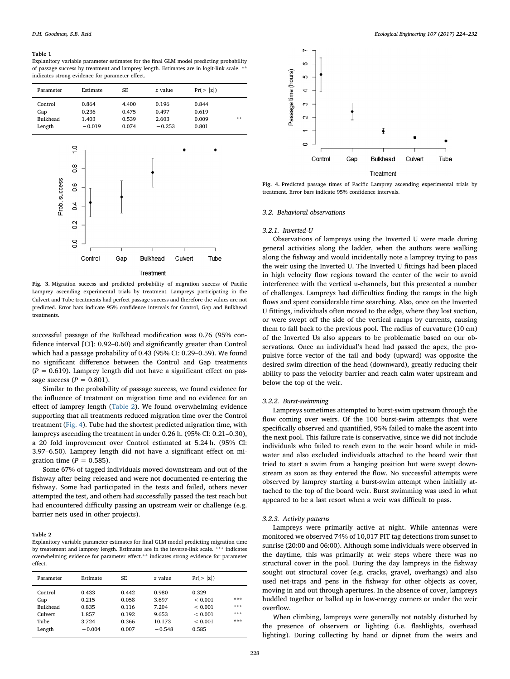#### <span id="page-4-0"></span>Table 1

Explanitory variable parameter estimates for the final GLM model predicting probability of passage success by treatment and lamprey length. Estimates are in logit-link scale. \*\* indicates strong evidence for parameter effect.

<span id="page-4-1"></span>

| Parameter                                   | Estimate                                                                     | SE                               | z value                             | Pr(> z )                         |    |
|---------------------------------------------|------------------------------------------------------------------------------|----------------------------------|-------------------------------------|----------------------------------|----|
| Control<br>Gap<br><b>Bulkhead</b><br>Length | 0.864<br>0.236<br>1.403<br>$-0.019$                                          | 4.400<br>0.475<br>0.539<br>0.074 | 0.196<br>0.497<br>2.603<br>$-0.253$ | 0.844<br>0.619<br>0.009<br>0.801 | ** |
| Prob. success                               | ä<br>$\frac{8}{1}$<br>0.6<br>0.4<br>$\tilde{c}$<br>$\overline{0}$<br>Control | Gap                              | <b>Bulkhead</b>                     | Culvert<br>Tube                  |    |

#### Treatment

Fig. 3. Migration success and predicted probability of migration success of Pacific Lamprey ascending experimental trials by treatment. Lampreys participating in the Culvert and Tube treatments had perfect passage success and therefore the values are not predicted. Error bars indicate 95% confidence intervals for Control, Gap and Bulkhead treatments.

successful passage of the Bulkhead modification was 0.76 (95% confidence interval [CI]: 0.92–0.60) and significantly greater than Control which had a passage probability of 0.43 (95% CI: 0.29–0.59). We found no significant difference between the Control and Gap treatments  $(P = 0.619)$ . Lamprey length did not have a significant effect on passage success ( $P = 0.801$ ).

Similar to the probability of passage success, we found evidence for the influence of treatment on migration time and no evidence for an effect of lamprey length ([Table 2\)](#page-4-2). We found overwhelming evidence supporting that all treatments reduced migration time over the Control treatment ([Fig. 4\)](#page-4-3). Tube had the shortest predicted migration time, with lampreys ascending the treatment in under 0.26 h. (95% CI: 0.21–0.30), a 20 fold improvement over Control estimated at 5.24 h. (95% CI: 3.97–6.50). Lamprey length did not have a significant effect on migration time ( $P = 0.585$ ).

Some 67% of tagged individuals moved downstream and out of the fishway after being released and were not documented re-entering the fishway. Some had participated in the tests and failed, others never attempted the test, and others had successfully passed the test reach but had encountered difficulty passing an upstream weir or challenge (e.g. barrier nets used in other projects).

#### <span id="page-4-2"></span>Table 2

Explanitory variable parameter estimates for final GLM model predicting migration time by treatement and lamprey length. Estimates are in the inverse-link scale. \*\*\* indicates overwhelming evidence for parameter effect.\*\* indicates strong evidence for parameter effect.

| Parameter | Estimate | SE    | z value  | Pr(> z )    |     |
|-----------|----------|-------|----------|-------------|-----|
| Control   | 0.433    | 0.442 | 0.980    | 0.329       |     |
| Gap       | 0.215    | 0.058 | 3.697    | < 0.001     | *** |
| Bulkhead  | 0.835    | 0.116 | 7.204    | ${}< 0.001$ | *** |
| Culvert   | 1.857    | 0.192 | 9.653    | < 0.001     | *** |
| Tube      | 3.724    | 0.366 | 10.173   | < 0.001     | *** |
| Length    | $-0.004$ | 0.007 | $-0.548$ | 0.585       |     |

<span id="page-4-3"></span>

Fig. 4. Predicted passage times of Pacific Lamprey ascending experimental trials by treatment. Error bars indicate 95% confidence intervals.

#### 3.2. Behavioral observations

#### 3.2.1. Inverted-U

Observations of lampreys using the Inverted U were made during general activities along the ladder, when the authors were walking along the fishway and would incidentally note a lamprey trying to pass the weir using the Inverted U. The Inverted U fittings had been placed in high velocity flow regions toward the center of the weir to avoid interference with the vertical u-channels, but this presented a number of challenges. Lampreys had difficulties finding the ramps in the high flows and spent considerable time searching. Also, once on the Inverted U fittings, individuals often moved to the edge, where they lost suction, or were swept off the side of the vertical ramps by currents, causing them to fall back to the previous pool. The radius of curvature (10 cm) of the Inverted Us also appears to be problematic based on our observations. Once an individual's head had passed the apex, the propulsive force vector of the tail and body (upward) was opposite the desired swim direction of the head (downward), greatly reducing their ability to pass the velocity barrier and reach calm water upstream and below the top of the weir.

#### 3.2.2. Burst-swimming

Lampreys sometimes attempted to burst-swim upstream through the flow coming over weirs. Of the 100 burst-swim attempts that were specifically observed and quantified, 95% failed to make the ascent into the next pool. This failure rate is conservative, since we did not include individuals who failed to reach even to the weir board while in midwater and also excluded individuals attached to the board weir that tried to start a swim from a hanging position but were swept downstream as soon as they entered the flow. No successful attempts were observed by lamprey starting a burst-swim attempt when initially attached to the top of the board weir. Burst swimming was used in what appeared to be a last resort when a weir was difficult to pass.

#### 3.2.3. Activity patterns

Lampreys were primarily active at night. While antennas were monitored we observed 74% of 10,017 PIT tag detections from sunset to sunrise (20:00 and 06:00). Although some individuals were observed in the daytime, this was primarily at weir steps where there was no structural cover in the pool. During the day lampreys in the fishway sought out structural cover (e.g. cracks, gravel, overhangs) and also used net-traps and pens in the fishway for other objects as cover, moving in and out through apertures. In the absence of cover, lampreys huddled together or balled up in low-energy corners or under the weir overflow.

When climbing, lampreys were generally not notably disturbed by the presence of observers or lighting (i.e. flashlights, overhead lighting). During collecting by hand or dipnet from the weirs and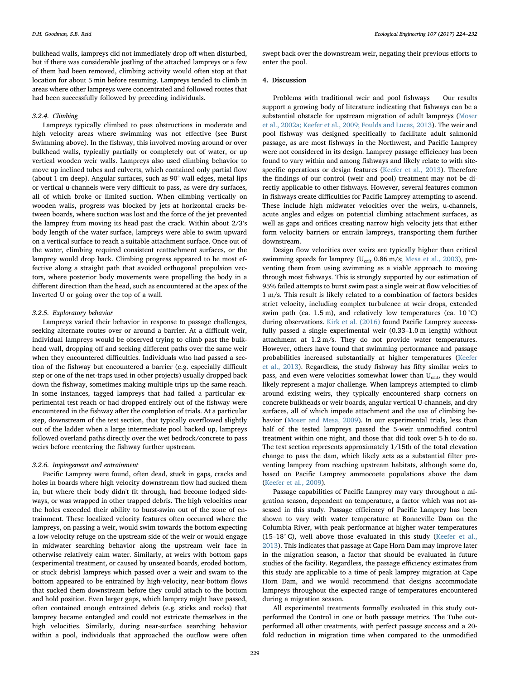bulkhead walls, lampreys did not immediately drop off when disturbed, but if there was considerable jostling of the attached lampreys or a few of them had been removed, climbing activity would often stop at that location for about 5 min before resuming. Lampreys tended to climb in areas where other lampreys were concentrated and followed routes that had been successfully followed by preceding individuals.

## 3.2.4. Climbing

Lampreys typically climbed to pass obstructions in moderate and high velocity areas where swimming was not effective (see Burst Swimming above). In the fishway, this involved moving around or over bulkhead walls, typically partially or completely out of water, or up vertical wooden weir walls. Lampreys also used climbing behavior to move up inclined tubes and culverts, which contained only partial flow (about 1 cm deep). Angular surfaces, such as 90° wall edges, metal lips or vertical u-channels were very difficult to pass, as were dry surfaces, all of which broke or limited suction. When climbing vertically on wooden walls, progress was blocked by jets at horizontal cracks between boards, where suction was lost and the force of the jet prevented the lamprey from moving its head past the crack. Within about 2/3′s body length of the water surface, lampreys were able to swim upward on a vertical surface to reach a suitable attachment surface. Once out of the water, climbing required consistent reattachment surfaces, or the lamprey would drop back. Climbing progress appeared to be most effective along a straight path that avoided orthogonal propulsion vectors, where posterior body movements were propelling the body in a different direction than the head, such as encountered at the apex of the Inverted U or going over the top of a wall.

#### 3.2.5. Exploratory behavior

Lampreys varied their behavior in response to passage challenges, seeking alternate routes over or around a barrier. At a difficult weir, individual lampreys would be observed trying to climb past the bulkhead wall, dropping off and seeking different paths over the same weir when they encountered difficulties. Individuals who had passed a section of the fishway but encountered a barrier (e.g. especially difficult step or one of the net-traps used in other projects) usually dropped back down the fishway, sometimes making multiple trips up the same reach. In some instances, tagged lampreys that had failed a particular experimental test reach or had dropped entirely out of the fishway were encountered in the fishway after the completion of trials. At a particular step, downstream of the test section, that typically overflowed slightly out of the ladder when a large intermediate pool backed up, lampreys followed overland paths directly over the wet bedrock/concrete to pass weirs before reentering the fishway further upstream.

#### 3.2.6. Impingement and entrainment

Pacific Lamprey were found, often dead, stuck in gaps, cracks and holes in boards where high velocity downstream flow had sucked them in, but where their body didn't fit through, had become lodged sideways, or was wrapped in other trapped debris. The high velocities near the holes exceeded their ability to burst-swim out of the zone of entrainment. These localized velocity features often occurred where the lampreys, on passing a weir, would swim towards the bottom expecting a low-velocity refuge on the upstream side of the weir or would engage in midwater searching behavior along the upstream weir face in otherwise relatively calm water. Similarly, at weirs with bottom gaps (experimental treatment, or caused by unseated boards, eroded bottom, or stuck debris) lampreys which passed over a weir and swam to the bottom appeared to be entrained by high-velocity, near-bottom flows that sucked them downstream before they could attach to the bottom and hold position. Even larger gaps, which lamprey might have passed, often contained enough entrained debris (e.g. sticks and rocks) that lamprey became entangled and could not extricate themselves in the high velocities. Similarly, during near-surface searching behavior within a pool, individuals that approached the outflow were often swept back over the downstream weir, negating their previous efforts to enter the pool.

## 4. Discussion

Problems with traditional weir and pool fishways − Our results support a growing body of literature indicating that fishways can be a substantial obstacle for upstream migration of adult lampreys [\(Moser](#page-8-12) [et al., 2002a; Keefer et al., 2009; Foulds and Lucas, 2013\)](#page-8-12). The weir and pool fishway was designed specifically to facilitate adult salmonid passage, as are most fishways in the Northwest, and Pacific Lamprey were not considered in its design. Lamprey passage efficiency has been found to vary within and among fishways and likely relate to with sitespecific operations or design features [\(Keefer et al., 2013\)](#page-8-19). Therefore the findings of our control (weir and pool) treatment may not be directly applicable to other fishways. However, several features common in fishways create difficulties for Pacific Lamprey attempting to ascend. These include high midwater velocities over the weirs, u-channels, acute angles and edges on potential climbing attachment surfaces, as well as gaps and orifices creating narrow high velocity jets that either form velocity barriers or entrain lampreys, transporting them further downstream.

Design flow velocities over weirs are typically higher than critical swimming speeds for lamprey (U<sub>crit</sub> 0.86 m/s; [Mesa et al., 2003\)](#page-8-20), preventing them from using swimming as a viable approach to moving through most fishways. This is strongly supported by our estimation of 95% failed attempts to burst swim past a single weir at flow velocities of 1 m/s. This result is likely related to a combination of factors besides strict velocity, including complex turbulence at weir drops, extended swim path (ca. 1.5 m), and relatively low temperatures (ca. 10 °C) during observations. [Kirk et al. \(2016\)](#page-8-21) found Pacific Lamprey successfully passed a single experimental weir (0.33–1.0 m length) without attachment at 1.2 m/s. They do not provide water temperatures. However, others have found that swimming performance and passage probabilities increased substantially at higher temperatures [\(Keefer](#page-8-19) [et al., 2013\)](#page-8-19). Regardless, the study fishway has fifty similar weirs to pass, and even were velocities somewhat lower than  $U_{\text{crit}}$ , they would likely represent a major challenge. When lampreys attempted to climb around existing weirs, they typically encountered sharp corners on concrete bulkheads or weir boards, angular vertical U-channels, and dry surfaces, all of which impede attachment and the use of climbing behavior ([Moser and Mesa, 2009\)](#page-8-4). In our experimental trials, less than half of the tested lampreys passed the 5-weir unmodified control treatment within one night, and those that did took over 5 h to do so. The test section represents approximately 1/15th of the total elevation change to pass the dam, which likely acts as a substantial filter preventing lamprey from reaching upstream habitats, although some do, based on Pacific Lamprey ammocoete populations above the dam ([Keefer et al., 2009\)](#page-8-22).

Passage capabilities of Pacific Lamprey may vary throughout a migration season, dependent on temperature, a factor which was not assessed in this study. Passage efficiency of Pacific Lamprey has been shown to vary with water temperature at Bonneville Dam on the Columbia River, with peak performance at higher water temperatures (15–18° C), well above those evaluated in this study [\(Keefer et al.,](#page-8-19) [2013\)](#page-8-19). This indicates that passage at Cape Horn Dam may improve later in the migration season, a factor that should be evaluated in future studies of the facility. Regardless, the passage efficiency estimates from this study are applicable to a time of peak lamprey migration at Cape Horn Dam, and we would recommend that designs accommodate lampreys throughout the expected range of temperatures encountered during a migration season.

All experimental treatments formally evaluated in this study outperformed the Control in one or both passage metrics. The Tube outperformed all other treatments, with perfect passage success and a 20 fold reduction in migration time when compared to the unmodified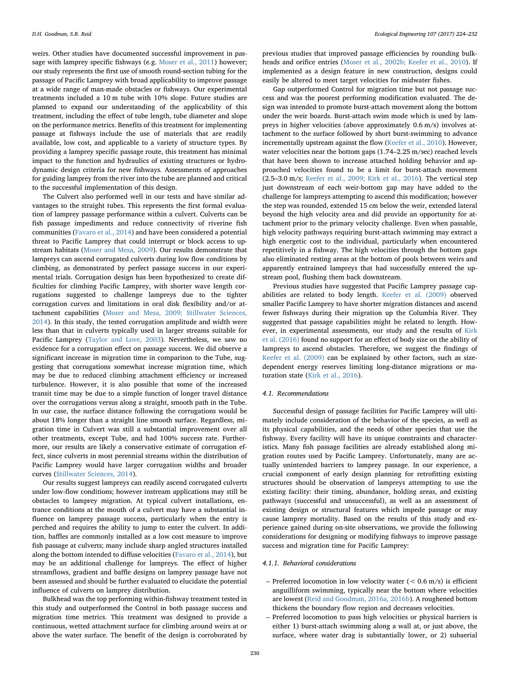weirs. Other studies have documented successful improvement in passage with lamprey specific fishways (e.g. [Moser et al., 2011\)](#page-8-23) however; our study represents the first use of smooth round-section tubing for the passage of Pacific Lamprey with broad applicability to improve passage at a wide range of man-made obstacles or fishways. Our experimental treatments included a 10 m tube with 10% slope. Future studies are planned to expand our understanding of the applicability of this treatment, including the effect of tube length, tube diameter and slope on the performance metrics. Benefits of this treatment for implementing passage at fishways include the use of materials that are readily available, low cost, and applicable to a variety of structure types. By providing a lamprey specific passage route, this treatment has minimal impact to the function and hydraulics of existing structures or hydrodynamic design criteria for new fishways. Assessments of approaches for guiding lamprey from the river into the tube are planned and critical to the successful implementation of this design.

The Culvert also performed well in our tests and have similar advantages to the straight tubes. This represents the first formal evaluation of lamprey passage performance within a culvert. Culverts can be fish passage impediments and reduce connectivity of riverine fish communities ([Favaro et al., 2014](#page-8-24)) and have been considered a potential threat to Pacific Lamprey that could interrupt or block access to upstream habitats ([Moser and Mesa, 2009\)](#page-8-4). Our results demonstrate that lampreys can ascend corrugated culverts during low flow conditions by climbing, as demonstrated by perfect passage success in our experimental trials. Corrugation design has been hypothesized to create difficulties for climbing Pacific Lamprey, with shorter wave length corrugations suggested to challenge lampreys due to the tighter corrugation curves and limitations in oral disk flexibility and/or attachment capabilities [\(Moser and Mesa, 2009; Stillwater Sciences,](#page-8-4) [2014\)](#page-8-4). In this study, the tested corrugation amplitude and width were less than that in culverts typically used in larger streams suitable for Pacific Lamprey ([Taylor and Love, 2003\)](#page-8-25). Nevertheless, we saw no evidence for a corrugation effect on passage success. We did observe a significant increase in migration time in comparison to the Tube, suggesting that corrugations somewhat increase migration time, which may be due to reduced climbing attachment efficiency or increased turbulence. However, it is also possible that some of the increased transit time may be due to a simple function of longer travel distance over the corrugations versus along a straight, smooth path in the Tube. In our case, the surface distance following the corrugations would be about 18% longer than a straight line smooth surface. Regardless, migration time in Culvert was still a substantial improvement over all other treatments, except Tube, and had 100% success rate. Furthermore, our results are likely a conservative estimate of corrugation effect, since culverts in most perennial streams within the distribution of Pacific Lamprey would have larger corrugation widths and broader curves (Stillwater [Sciences, 2014\)](#page-8-26).

Our results suggest lampreys can readily ascend corrugated culverts under low-flow conditions; however instream applications may still be obstacles to lamprey migration. At typical culvert installations, entrance conditions at the mouth of a culvert may have a substantial influence on lamprey passage success, particularly when the entry is perched and requires the ability to jump to enter the culvert. In addition, baffles are commonly installed as a low cost measure to improve fish passage at culverts; many include sharp angled structures installed along the bottom intended to diffuse velocities ([Favaro et al., 2014\)](#page-8-24), but may be an additional challenge for lampreys. The effect of higher streamflows, gradient and baffle designs on lamprey passage have not been assessed and should be further evaluated to elucidate the potential influence of culverts on lamprey distribution.

Bulkhead was the top performing within-fishway treatment tested in this study and outperformed the Control in both passage success and migration time metrics. This treatment was designed to provide a continuous, wetted attachment surface for climbing around weirs at or above the water surface. The benefit of the design is corroborated by

previous studies that improved passage efficiencies by rounding bulkheads and orifice entries [\(Moser et al., 2002b; Keefer et al., 2010](#page-8-27)). If implemented as a design feature in new construction, designs could easily be altered to meet target velocities for midwater fishes.

Gap outperformed Control for migration time but not passage success and was the poorest performing modification evaluated. The design was intended to promote burst-attach movement along the bottom under the weir boards. Burst-attach swim mode which is used by lampreys in higher velocities (above approximately 0.6 m/s) involves attachment to the surface followed by short burst-swimming to advance incrementally upstream against the flow ([Keefer et al., 2010\)](#page-8-8). However, water velocities near the bottom gaps  $(1.74-2.25 \text{ m/sec})$  reached levels that have been shown to increase attached holding behavior and approached velocities found to be a limit for burst-attach movement (2.5–3.0 m/s; [Keefer et al., 2009; Kirk et al., 2016](#page-8-22)). The vertical step just downstream of each weir-bottom gap may have added to the challenge for lampreys attempting to ascend this modification; however the step was rounded, extended 15 cm below the weir, extended lateral beyond the high velocity area and did provide an opportunity for attachment prior to the primary velocity challenge. Even when passable, high velocity pathways requiring burst-attach swimming may extract a high energetic cost to the individual, particularly when encountered repetitively in a fishway. The high velocities through the bottom gaps also eliminated resting areas at the bottom of pools between weirs and apparently entrained lampreys that had successfully entered the upstream pool, flushing them back downstream.

Previous studies have suggested that Pacific Lamprey passage capabilities are related to body length. [Keefer et al. \(2009\)](#page-8-22) observed smaller Pacific Lamprey to have shorter migration distances and ascend fewer fishways during their migration up the Columbia River. They suggested that passage capabilities might be related to length. However, in experimental assessments, our study and the results of [Kirk](#page-8-21) [et al. \(2016\)](#page-8-21) found no support for an effect of body size on the ability of lampreys to ascend obstacles. Therefore, we suggest the findings of [Keefer et al. \(2009\)](#page-8-22) can be explained by other factors, such as sizedependent energy reserves limiting long-distance migrations or maturation state ([Kirk et al., 2016](#page-8-21)).

#### 4.1. Recommendations

Successful design of passage facilities for Pacific Lamprey will ultimately include consideration of the behavior of the species, as well as its physical capabilities, and the needs of other species that use the fishway. Every facility will have its unique constraints and characteristics. Many fish passage facilities are already established along migration routes used by Pacific Lamprey. Unfortunately, many are actually unintended barriers to lamprey passage. In our experience, a crucial component of early design planning for retrofitting existing structures should be observation of lampreys attempting to use the existing facility: their timing, abundance, holding areas, and existing pathways (successful and unsuccessful), as well as an assessment of existing design or structural features which impede passage or may cause lamprey mortality. Based on the results of this study and experience gained during on-site observations, we provide the following considerations for designing or modifying fishways to improve passage success and migration time for Pacific Lamprey:

### 4.1.1. Behavioral considerations

- Preferred locomotion in low velocity water  $(< 0.6$  m/s) is efficient anguilliform swimming, typically near the bottom where velocities are lowest ([Reid and Goodman, 2016a, 2016b](#page-8-10)). A roughened bottom thickens the boundary flow region and decreases velocities.
- Preferred locomotion to pass high velocities or physical barriers is either 1) burst-attach swimming along a wall at, or just above, the surface, where water drag is substantially lower, or 2) subaerial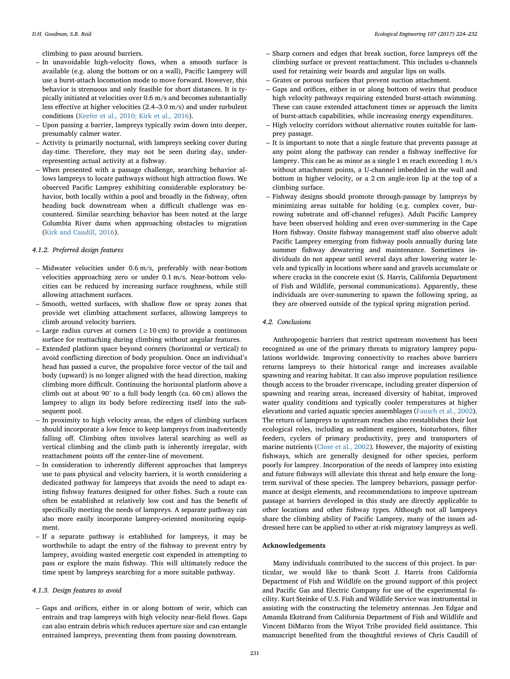climbing to pass around barriers.

- In unavoidable high-velocity flows, when a smooth surface is available (e.g. along the bottom or on a wall), Pacific Lamprey will use a burst-attach locomotion mode to move forward. However, this behavior is strenuous and only feasible for short distances. It is typically initiated at velocities over 0.6 m/s and becomes substantially less effective at higher velocities (2.4–3.0 m/s) and under turbulent conditions ([Keefer et al., 2010; Kirk et al., 2016\)](#page-8-8).
- Upon passing a barrier, lampreys typically swim down into deeper, presumably calmer water.
- Activity is primarily nocturnal, with lampreys seeking cover during day-time. Therefore, they may not be seen during day, underrepresenting actual activity at a fishway.
- When presented with a passage challenge, searching behavior allows lampreys to locate pathways without high attraction flows. We observed Pacific Lamprey exhibiting considerable exploratory behavior, both locally within a pool and broadly in the fishway, often heading back downstream when a difficult challenge was encountered. Similar searching behavior has been noted at the large Columbia River dams when approaching obstacles to migration [\(Kirk and Caudill, 2016\)](#page-8-28).

## 4.1.2. Preferred design features

- Midwater velocities under 0.6 m/s, preferably with near-bottom velocities approaching zero or under 0.1 m/s. Near-bottom velocities can be reduced by increasing surface roughness, while still allowing attachment surfaces.
- Smooth, wetted surfaces, with shallow flow or spray zones that provide wet climbing attachment surfaces, allowing lampreys to climb around velocity barriers.
- Large radius curves at corners ( $\geq 10$  cm) to provide a continuous surface for reattaching during climbing without angular features.
- Extended platform space beyond corners (horizontal or vertical) to avoid conflicting direction of body propulsion. Once an individual's head has passed a curve, the propulsive force vector of the tail and body (upward) is no longer aligned with the head direction, making climbing more difficult. Continuing the horizontal platform above a climb out at about 90° to a full body length (ca. 60 cm) allows the lamprey to align its body before redirecting itself into the subsequent pool.
- In proximity to high velocity areas, the edges of climbing surfaces should incorporate a low fence to keep lampreys from inadvertently falling off. Climbing often involves lateral searching as well as vertical climbing and the climb path is inherently irregular, with reattachment points off the center-line of movement.
- In consideration to inherently different approaches that lampreys use to pass physical and velocity barriers, it is worth considering a dedicated pathway for lampreys that avoids the need to adapt existing fishway features designed for other fishes. Such a route can often be established at relatively low cost and has the benefit of specifically meeting the needs of lampreys. A separate pathway can also more easily incorporate lamprey-oriented monitoring equipment.
- If a separate pathway is established for lampreys, it may be worthwhile to adapt the entry of the fishway to prevent entry by lamprey, avoiding wasted energetic cost expended in attempting to pass or explore the main fishway. This will ultimately reduce the time spent by lampreys searching for a more suitable pathway.

#### 4.1.3. Design features to avoid

– Gaps and orifices, either in or along bottom of weir, which can entrain and trap lampreys with high velocity near-field flows. Gaps can also entrain debris which reduces aperture size and can entangle entrained lampreys, preventing them from passing downstream.

- Sharp corners and edges that break suction, force lampreys off the climbing surface or prevent reattachment. This includes u-channels used for retaining weir boards and angular lips on walls.
- Grates or porous surfaces that prevent suction attachment.
- Gaps and orifices, either in or along bottom of weirs that produce high velocity pathways requiring extended burst-attach swimming. These can cause extended attachment times or approach the limits of burst-attach capabilities, while increasing energy expenditures.
- High velocity corridors without alternative routes suitable for lamprey passage.
- It is important to note that a single feature that prevents passage at any point along the pathway can render a fishway ineffective for lamprey. This can be as minor as a single 1 m reach exceeding 1 m/s without attachment points, a U-channel imbedded in the wall and bottom in higher velocity, or a 2 cm angle-iron lip at the top of a climbing surface.
- Fishway designs should promote through-passage by lampreys by minimizing areas suitable for holding (e.g. complex cover, burrowing substrate and off-channel refuges). Adult Pacific Lamprey have been observed holding and even over-summering in the Cape Horn fishway. Onsite fishway management staff also observe adult Pacific Lamprey emerging from fishway pools annually during late summer fishway dewatering and maintenance. Sometimes individuals do not appear until several days after lowering water levels and typically in locations where sand and gravels accumulate or where cracks in the concrete exist (S. Harris, California Department of Fish and Wildlife, personal communications). Apparently, these individuals are over-summering to spawn the following spring, as they are observed outside of the typical spring migration period.

#### 4.2. Conclusions

Anthropogenic barriers that restrict upstream movement has been recognized as one of the primary threats to migratory lamprey populations worldwide. Improving connectivity to reaches above barriers returns lampreys to their historical range and increases available spawning and rearing habitat. It can also improve population resilience though access to the broader riverscape, including greater dispersion of spawning and rearing areas, increased diversity of habitat, improved water quality conditions and typically cooler temperatures at higher elevations and varied aquatic species assemblages [\(Fausch et al., 2002](#page-8-29)). The return of lampreys to upstream reaches also reestablishes their lost ecological roles, including as sediment engineers, bioturbators, filter feeders, cyclers of primary productivity, prey and transporters of marine nutrients ([Close et al., 2002\)](#page-8-30). However, the majority of existing fishways, which are generally designed for other species, perform poorly for lamprey. Incorporation of the needs of lamprey into existing and future fishways will alleviate this threat and help ensure the longterm survival of these species. The lamprey behaviors, passage performance at design elements, and recommendations to improve upstream passage at barriers developed in this study are directly applicable to other locations and other fishway types. Although not all lampreys share the climbing ability of Pacific Lamprey, many of the issues addressed here can be applied to other at-risk migratory lampreys as well.

## Acknowledgements

Many individuals contributed to the success of this project. In particular, we would like to thank Scott J. Harris from California Department of Fish and Wildlife on the ground support of this project and Pacific Gas and Electric Company for use of the experimental facility. Kurt Steinke of U.S. Fish and Wildlife Service was instrumental in assisting with the constructing the telemetry antennas. Jen Edgar and Amanda Ekstrand from California Department of Fish and Wildlife and Vincent DiMarzo from the Wiyot Tribe provided field assistance. This manuscript benefited from the thoughtful reviews of Chris Caudill of